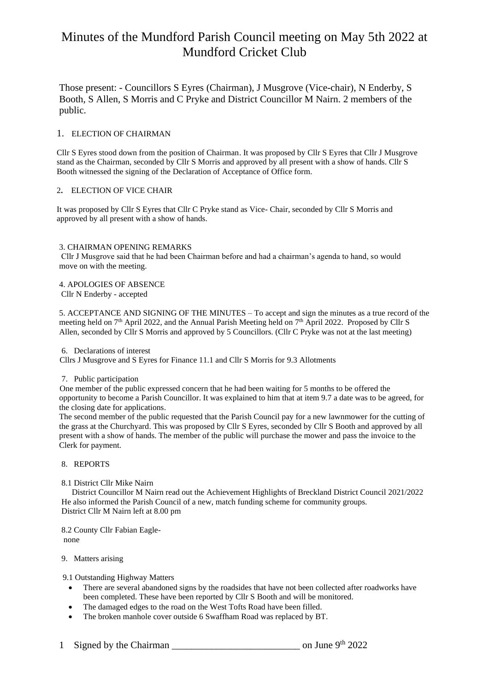Those present: - Councillors S Eyres (Chairman), J Musgrove (Vice-chair), N Enderby, S Booth, S Allen, S Morris and C Pryke and District Councillor M Nairn. 2 members of the public.

#### 1. ELECTION OF CHAIRMAN

Cllr S Eyres stood down from the position of Chairman. It was proposed by Cllr S Eyres that Cllr J Musgrove stand as the Chairman, seconded by Cllr S Morris and approved by all present with a show of hands. Cllr S Booth witnessed the signing of the Declaration of Acceptance of Office form.

### 2**.** ELECTION OF VICE CHAIR

It was proposed by Cllr S Eyres that Cllr C Pryke stand as Vice- Chair, seconded by Cllr S Morris and approved by all present with a show of hands.

#### 3. CHAIRMAN OPENING REMARKS

Cllr J Musgrove said that he had been Chairman before and had a chairman's agenda to hand, so would move on with the meeting.

4. APOLOGIES OF ABSENCE Cllr N Enderby - accepted

5. ACCEPTANCE AND SIGNING OF THE MINUTES – To accept and sign the minutes as a true record of the meeting held on 7<sup>th</sup> April 2022, and the Annual Parish Meeting held on 7<sup>th</sup> April 2022. Proposed by Cllr S Allen, seconded by Cllr S Morris and approved by 5 Councillors. (Cllr C Pryke was not at the last meeting)

#### 6. Declarations of interest

Cllrs J Musgrove and S Eyres for Finance 11.1 and Cllr S Morris for 9.3 Allotments

#### 7. Public participation

 One member of the public expressed concern that he had been waiting for 5 months to be offered the opportunity to become a Parish Councillor. It was explained to him that at item 9.7 a date was to be agreed, for the closing date for applications.

The second member of the public requested that the Parish Council pay for a new lawnmower for the cutting of the grass at the Churchyard. This was proposed by Cllr S Eyres, seconded by Cllr S Booth and approved by all present with a show of hands. The member of the public will purchase the mower and pass the invoice to the Clerk for payment.

## 8. REPORTS

#### 8.1 District Cllr Mike Nairn

 District Councillor M Nairn read out the Achievement Highlights of Breckland District Council 2021/2022 He also informed the Parish Council of a new, match funding scheme for community groups. District Cllr M Nairn left at 8.00 pm

8.2 County Cllr Fabian Eaglenone

#### 9. Matters arising

9.1 Outstanding Highway Matters

- There are several abandoned signs by the roadsides that have not been collected after roadworks have been completed. These have been reported by Cllr S Booth and will be monitored.
- The damaged edges to the road on the West Tofts Road have been filled.
- The broken manhole cover outside 6 Swaffham Road was replaced by BT.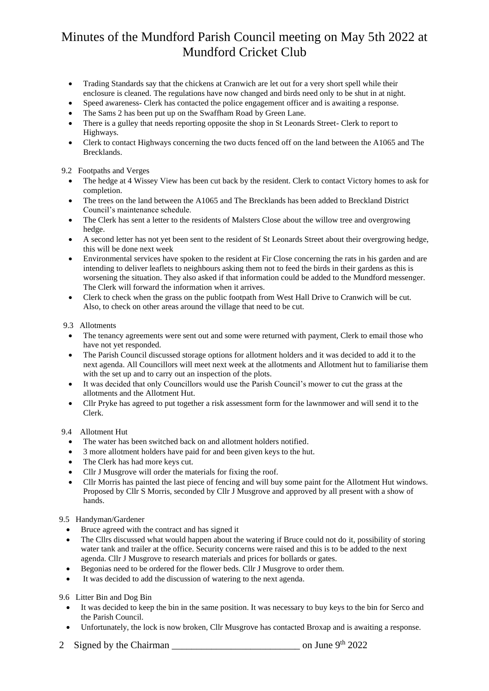- Trading Standards say that the chickens at Cranwich are let out for a very short spell while their enclosure is cleaned. The regulations have now changed and birds need only to be shut in at night.
- Speed awareness- Clerk has contacted the police engagement officer and is awaiting a response.
- The Sams 2 has been put up on the Swaffham Road by Green Lane.
- There is a gulley that needs reporting opposite the shop in St Leonards Street- Clerk to report to Highways.
- Clerk to contact Highways concerning the two ducts fenced off on the land between the A1065 and The Brecklands.

# 9.2 Footpaths and Verges

- The hedge at 4 Wissey View has been cut back by the resident. Clerk to contact Victory homes to ask for completion.
- The trees on the land between the A1065 and The Brecklands has been added to Breckland District Council's maintenance schedule.
- The Clerk has sent a letter to the residents of Malsters Close about the willow tree and overgrowing hedge.
- A second letter has not yet been sent to the resident of St Leonards Street about their overgrowing hedge, this will be done next week
- Environmental services have spoken to the resident at Fir Close concerning the rats in his garden and are intending to deliver leaflets to neighbours asking them not to feed the birds in their gardens as this is worsening the situation. They also asked if that information could be added to the Mundford messenger. The Clerk will forward the information when it arrives.
- Clerk to check when the grass on the public footpath from West Hall Drive to Cranwich will be cut. Also, to check on other areas around the village that need to be cut.

### 9.3 Allotments

- The tenancy agreements were sent out and some were returned with payment, Clerk to email those who have not yet responded.
- The Parish Council discussed storage options for allotment holders and it was decided to add it to the next agenda. All Councillors will meet next week at the allotments and Allotment hut to familiarise them with the set up and to carry out an inspection of the plots.
- It was decided that only Councillors would use the Parish Council's mower to cut the grass at the allotments and the Allotment Hut.
- Cllr Pryke has agreed to put together a risk assessment form for the lawnmower and will send it to the Clerk.

# 9.4 Allotment Hut

- The water has been switched back on and allotment holders notified.
- 3 more allotment holders have paid for and been given keys to the hut.
- The Clerk has had more keys cut.
- Cllr J Musgrove will order the materials for fixing the roof.
- Cllr Morris has painted the last piece of fencing and will buy some paint for the Allotment Hut windows. Proposed by Cllr S Morris, seconded by Cllr J Musgrove and approved by all present with a show of hands.

# 9.5 Handyman/Gardener

- Bruce agreed with the contract and has signed it
- The Cllrs discussed what would happen about the watering if Bruce could not do it, possibility of storing water tank and trailer at the office. Security concerns were raised and this is to be added to the next agenda. Cllr J Musgrove to research materials and prices for bollards or gates.
- Begonias need to be ordered for the flower beds. Cllr J Musgrove to order them.
- It was decided to add the discussion of watering to the next agenda.

# 9.6 Litter Bin and Dog Bin

- It was decided to keep the bin in the same position. It was necessary to buy keys to the bin for Serco and the Parish Council.
- Unfortunately, the lock is now broken, Cllr Musgrove has contacted Broxap and is awaiting a response.
- 2 Signed by the Chairman  $\frac{1}{2}$  on June 9<sup>th</sup> 2022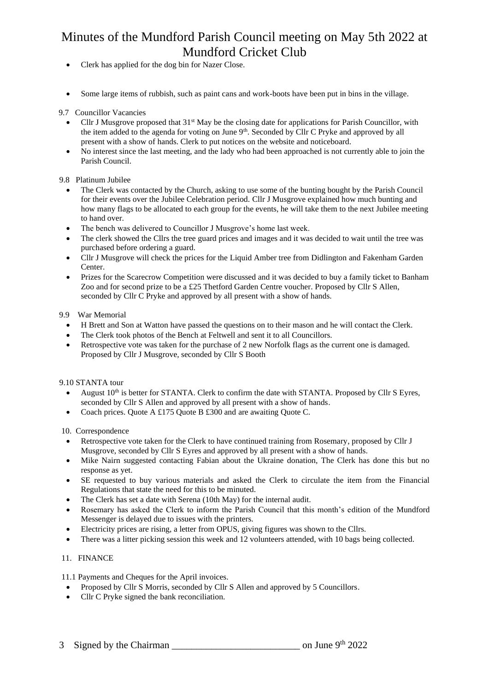- Clerk has applied for the dog bin for Nazer Close.
- Some large items of rubbish, such as paint cans and work-boots have been put in bins in the village.

### 9.7 Councillor Vacancies

- Cllr J Musgrove proposed that  $31<sup>st</sup>$  May be the closing date for applications for Parish Councillor, with the item added to the agenda for voting on June 9<sup>th</sup>. Seconded by Cllr C Pryke and approved by all present with a show of hands. Clerk to put notices on the website and noticeboard.
- No interest since the last meeting, and the lady who had been approached is not currently able to join the Parish Council.

### 9.8 Platinum Jubilee

- The Clerk was contacted by the Church, asking to use some of the bunting bought by the Parish Council for their events over the Jubilee Celebration period. Cllr J Musgrove explained how much bunting and how many flags to be allocated to each group for the events, he will take them to the next Jubilee meeting to hand over.
- The bench was delivered to Councillor J Musgrove's home last week.
- The clerk showed the Cllrs the tree guard prices and images and it was decided to wait until the tree was purchased before ordering a guard.
- Cllr J Musgrove will check the prices for the Liquid Amber tree from Didlington and Fakenham Garden Center.
- Prizes for the Scarecrow Competition were discussed and it was decided to buy a family ticket to Banham Zoo and for second prize to be a £25 Thetford Garden Centre voucher. Proposed by Cllr S Allen, seconded by Cllr C Pryke and approved by all present with a show of hands.

### 9.9 War Memorial

- H Brett and Son at Watton have passed the questions on to their mason and he will contact the Clerk.
- The Clerk took photos of the Bench at Feltwell and sent it to all Councillors.
- Retrospective vote was taken for the purchase of 2 new Norfolk flags as the current one is damaged. Proposed by Cllr J Musgrove, seconded by Cllr S Booth

# 9.10 STANTA tour

- August  $10<sup>th</sup>$  is better for STANTA. Clerk to confirm the date with STANTA. Proposed by Cllr S Eyres, seconded by Cllr S Allen and approved by all present with a show of hands.
- Coach prices. Quote A £175 Quote B £300 and are awaiting Quote C.

10. Correspondence

- Retrospective vote taken for the Clerk to have continued training from Rosemary, proposed by Cllr J Musgrove, seconded by Cllr S Eyres and approved by all present with a show of hands.
- Mike Nairn suggested contacting Fabian about the Ukraine donation, The Clerk has done this but no response as yet.
- SE requested to buy various materials and asked the Clerk to circulate the item from the Financial Regulations that state the need for this to be minuted.
- The Clerk has set a date with Serena (10th May) for the internal audit.
- Rosemary has asked the Clerk to inform the Parish Council that this month's edition of the Mundford Messenger is delayed due to issues with the printers.
- Electricity prices are rising, a letter from OPUS, giving figures was shown to the Cllrs.
- There was a litter picking session this week and 12 volunteers attended, with 10 bags being collected.

# 11. FINANCE

11.1 Payments and Cheques for the April invoices.

- Proposed by Cllr S Morris, seconded by Cllr S Allen and approved by 5 Councillors.
- Cllr C Pryke signed the bank reconciliation.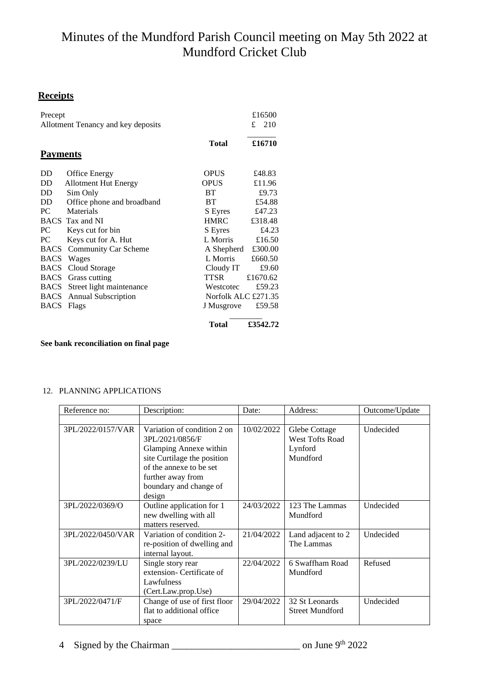# **Receipts**

| Precept                            |                             |                     | £16500   |  |
|------------------------------------|-----------------------------|---------------------|----------|--|
| Allotment Tenancy and key deposits |                             |                     |          |  |
|                                    |                             | Total               | £16710   |  |
| <b>Payments</b>                    |                             |                     |          |  |
| DD                                 | <b>Office Energy</b>        | <b>OPUS</b>         | £48.83   |  |
| DD.                                | <b>Allotment Hut Energy</b> | <b>OPUS</b>         | £11.96   |  |
| <b>DD</b>                          | Sim Only                    | <b>BT</b>           | £9.73    |  |
| DD.                                | Office phone and broadband  | <b>BT</b>           | £54.88   |  |
| PC.                                | Materials                   | S Eyres             | £47.23   |  |
|                                    | <b>BACS</b> Tax and NI      | <b>HMRC</b>         | £318.48  |  |
| PC.                                | Keys cut for bin            | S Eyres             | £4.23    |  |
| PC                                 | Keys cut for A. Hut         | L Morris            | £16.50   |  |
| <b>BACS</b>                        | <b>Community Car Scheme</b> | A Shepherd          | £300.00  |  |
|                                    | <b>BACS</b> Wages           | L Morris            | £660.50  |  |
| <b>BACS</b>                        | Cloud Storage               | Cloudy IT           | £9.60    |  |
| BACS                               | Grass cutting               | TTSR                | £1670.62 |  |
| <b>BACS</b>                        | Street light maintenance    | Westcotec           | £59.23   |  |
| <b>BACS</b>                        | <b>Annual Subscription</b>  | Norfolk ALC £271.35 |          |  |
| <b>BACS</b>                        | Flags                       | J Musgrove          | £59.58   |  |
|                                    |                             | Total               | £3542.72 |  |

**See bank reconciliation on final page**

# 12. PLANNING APPLICATIONS

| Reference no:     | Description:                                                                                                                                                                                | Date:      | Address:                                                       | Outcome/Update |
|-------------------|---------------------------------------------------------------------------------------------------------------------------------------------------------------------------------------------|------------|----------------------------------------------------------------|----------------|
|                   |                                                                                                                                                                                             |            |                                                                |                |
| 3PL/2022/0157/VAR | Variation of condition 2 on<br>3PL/2021/0856/F<br>Glamping Annexe within<br>site Curtilage the position<br>of the annexe to be set<br>further away from<br>boundary and change of<br>design | 10/02/2022 | Glebe Cottage<br><b>West Tofts Road</b><br>Lynford<br>Mundford | Undecided      |
| 3PL/2022/0369/O   | Outline application for 1<br>new dwelling with all<br>matters reserved.                                                                                                                     | 24/03/2022 | 123 The Lammas<br>Mundford                                     | Undecided      |
| 3PL/2022/0450/VAR | Variation of condition 2-<br>re-position of dwelling and<br>internal layout.                                                                                                                | 21/04/2022 | Land adjacent to 2<br>The Lammas                               | Undecided      |
| 3PL/2022/0239/LU  | Single story rear<br>extension- Certificate of<br>Lawfulness<br>(Cert.Law.prop.Use)                                                                                                         | 22/04/2022 | 6 Swaffham Road<br>Mundford                                    | Refused        |
| 3PL/2022/0471/F   | Change of use of first floor<br>flat to additional office<br>space                                                                                                                          | 29/04/2022 | 32 St Leonards<br><b>Street Mundford</b>                       | Undecided      |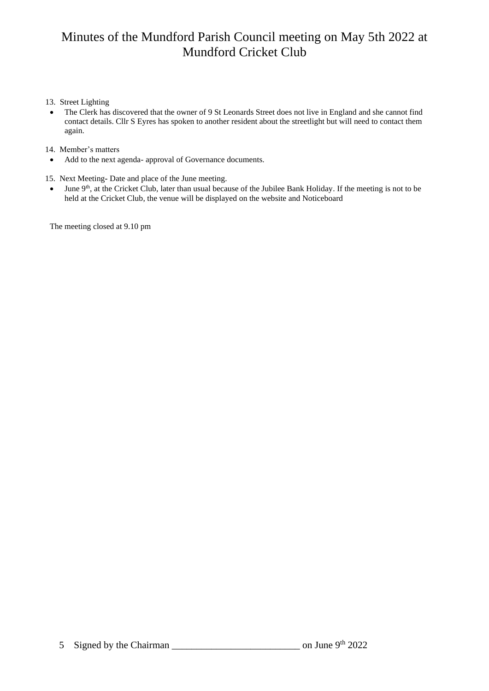### 13. Street Lighting

• The Clerk has discovered that the owner of 9 St Leonards Street does not live in England and she cannot find contact details. Cllr S Eyres has spoken to another resident about the streetlight but will need to contact them again.

### 14. Member's matters

• Add to the next agenda- approval of Governance documents.

15. Next Meeting**-** Date and place of the June meeting.

 $\bullet$  June 9<sup>th</sup>, at the Cricket Club, later than usual because of the Jubilee Bank Holiday. If the meeting is not to be held at the Cricket Club, the venue will be displayed on the website and Noticeboard

The meeting closed at 9.10 pm